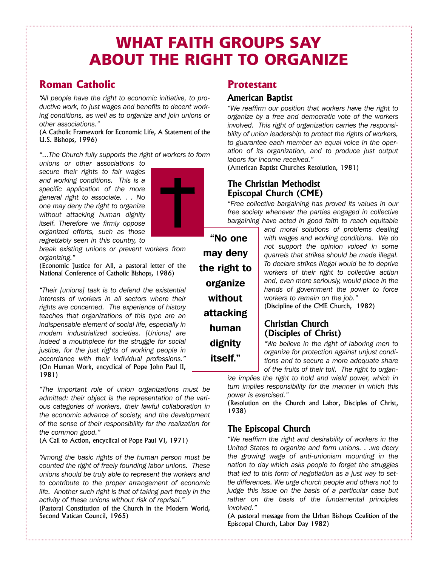# **WHAT FAITH GROUPS SAY ABOUT THE RIGHT TO ORGANIZE**

**"No one**

**may deny** 

**the right to**

**organize without**

**attacking**

**human**

**dignity itself."**

# **Roman Catholic**

*"All people have the right to economic initiative, to productive work, to just wages and benefits to decent working conditions, as well as to organize and join unions or other associations."*

(A Catholic Framework for Economic Life, A Statement of the U.S. Bishops, 1996)

*"...The Church fully supports the right of workers to form unions or other associations to*

*secure their rights to fair wages and working conditions. This is a specific application of the more general right to associate. . . No one may deny the right to organize without attacking human dignity itself. Therefore we firmly oppose organized efforts, such as those regrettably seen in this country, to*

*break existing unions or prevent workers from organizing."*

(Economic Justice for All, a pastoral letter of the National Conference of Catholic Bishops, 1986)

*"Their [unions] task is to defend the existential interests of workers in all sectors where their rights are concerned. The experience of history teaches that organizations of this type are an indispensable element of social life, especially in modern industrialized societies. [Unions] are indeed a mouthpiece for the struggle for social justice, for the just rights of working people in accordance with their individual professions."* (On Human Work, encyclical of Pope John Paul II, 1981)

*"The important role of union organizations must be admitted: their object is the representation of the various categories of workers, their lawful collaboration in the economic advance of society, and the development of the sense of their responsibility for the realization for the common good."*

(A Call to Action, encyclical of Pope Paul VI, 1971)

*"Among the basic rights of the human person must be counted the right of freely founding labor unions. These unions should be truly able to represent the workers and to contribute to the proper arrangement of economic life. Another such right is that of taking part freely in the activity of these unions without risk of reprisal."*

(Pastoral Constitution of the Church in the Modern World, Second Vatican Council, 1965)

# **Protestant**

#### **American Baptist**

*"We reaffirm our position that workers have the right to organize by a free and democratic vote of the workers involved. This right of organization carries the responsibility of union leadership to protect the rights of workers, to guarantee each member an equal voice in the operation of its organization, and to produce just output labors for income received."*

(American Baptist Churches Resolution, 1981)

#### **The Christian Methodist Episcopal Church (CME)**

*"Free collective bargaining has proved its values in our free society whenever the parties engaged in collective bargaining have acted in good faith to reach equitable*

> *and moral solutions of problems dealing with wages and working conditions. We do not support the opinion voiced in some quarrels that strikes should be made illegal. To declare strikes illegal would be to deprive workers of their right to collective action and, even more seriously, would place in the hands of government the power to force workers to remain on the job."*

(Discipline of the CME Church, 1982)

## **Christian Church (Disciples of Christ)**

*"We believe in the right of laboring men to organize for protection against unjust conditions and to secure a more adequate share of the fruits of their toil. The right to organ-*

*ize implies the right to hold and wield power, which in turn implies responsibility for the manner in which this power is exercised."*

(Resolution on the Church and Labor, Disciples of Christ, 1938)

#### **The Episcopal Church**

*"We reaffirm the right and desirability of workers in the United States to organize and form unions. . .we decry the growing wage of anti-unionism mounting in the nation to day which asks people to forget the struggles that led to this form of negotiation as a just way to settle differences. We urge church people and others not to judge this issue on the basis of a particular case but rather on the basis of the fundamental principles involved."*

(A pastoral message from the Urban Bishops Coalition of the Episcopal Church, Labor Day 1982)